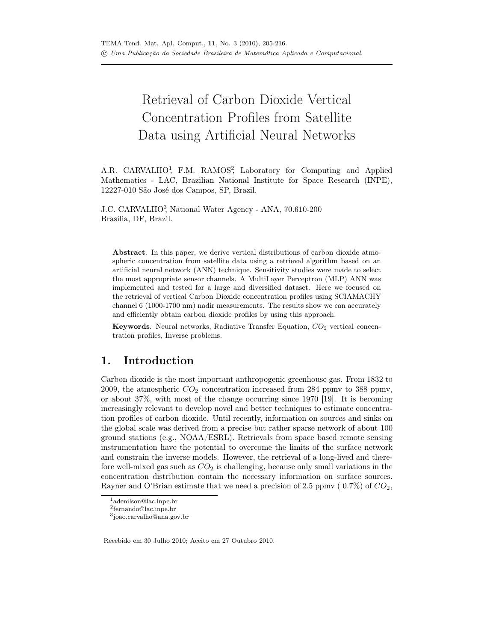# Retrieval of Carbon Dioxide Vertical Concentration Profiles from Satellite Data using Artificial Neural Networks

A.R. CARVALHO<sup>1</sup>, F.M. RAMOS<sup>2</sup>, Laboratory for Computing and Applied Mathematics - LAC, Brazilian National Institute for Space Research (INPE), 12227-010 São José dos Campos, SP, Brazil.

J.C. CARVALHO<sup>3</sup>, National Water Agency - ANA, 70.610-200 Brasília, DF, Brazil.

Abstract. In this paper, we derive vertical distributions of carbon dioxide atmospheric concentration from satellite data using a retrieval algorithm based on an artificial neural network (ANN) technique. Sensitivity studies were made to select the most appropriate sensor channels. A MultiLayer Perceptron (MLP) ANN was implemented and tested for a large and diversified dataset. Here we focused on the retrieval of vertical Carbon Dioxide concentration profiles using SCIAMACHY channel 6 (1000-1700 nm) nadir measurements. The results show we can accurately and efficiently obtain carbon dioxide profiles by using this approach.

**Keywords.** Neural networks, Radiative Transfer Equation,  $CO<sub>2</sub>$  vertical concentration profiles, Inverse problems.

## 1. Introduction

Carbon dioxide is the most important anthropogenic greenhouse gas. From 1832 to 2009, the atmospheric  $CO<sub>2</sub>$  concentration increased from 284 ppmv to 388 ppmv, or about 37%, with most of the change occurring since 1970 [19]. It is becoming increasingly relevant to develop novel and better techniques to estimate concentration profiles of carbon dioxide. Until recently, information on sources and sinks on the global scale was derived from a precise but rather sparse network of about 100 ground stations (e.g., NOAA/ESRL). Retrievals from space based remote sensing instrumentation have the potential to overcome the limits of the surface network and constrain the inverse models. However, the retrieval of a long-lived and therefore well-mixed gas such as  $CO<sub>2</sub>$  is challenging, because only small variations in the concentration distribution contain the necessary information on surface sources. Rayner and O'Brian estimate that we need a precision of 2.5 ppmv ( $0.7\%$ ) of  $CO<sub>2</sub>$ ,

Recebido em 30 Julho 2010; Aceito em 27 Outubro 2010.

<sup>&</sup>lt;sup>1</sup>adenilson@lac.inpe.br

<sup>2</sup> fernando@lac.inpe.br

<sup>3</sup> joao.carvalho@ana.gov.br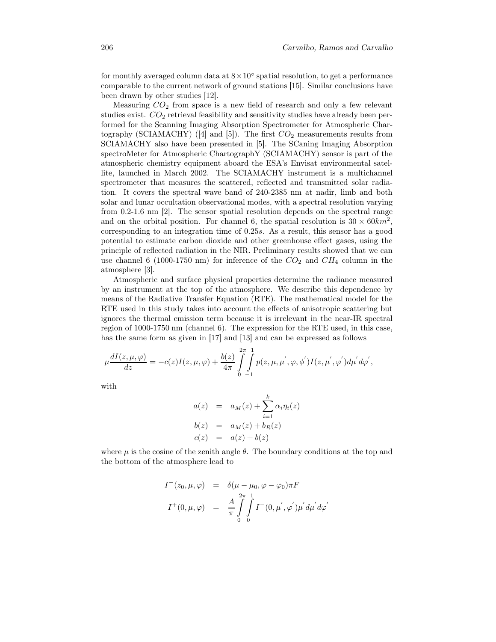for monthly averaged column data at  $8 \times 10^{\circ}$  spatial resolution, to get a performance comparable to the current network of ground stations [15]. Similar conclusions have been drawn by other studies [12].

Measuring  $CO<sub>2</sub>$  from space is a new field of research and only a few relevant studies exist.  $CO<sub>2</sub>$  retrieval feasibility and sensitivity studies have already been performed for the Scanning Imaging Absorption Spectrometer for Atmospheric Chartography (SCIAMACHY) ([4] and [5]). The first  $CO_2$  measurements results from SCIAMACHY also have been presented in [5]. The SCaning Imaging Absorption spectroMeter for Atmospheric ChartographY (SCIAMACHY) sensor is part of the atmospheric chemistry equipment aboard the ESA's Envisat environmental satellite, launched in March 2002. The SCIAMACHY instrument is a multichannel spectrometer that measures the scattered, reflected and transmitted solar radiation. It covers the spectral wave band of 240-2385 nm at nadir, limb and both solar and lunar occultation observational modes, with a spectral resolution varying from 0.2-1.6 nm [2]. The sensor spatial resolution depends on the spectral range and on the orbital position. For channel 6, the spatial resolution is  $30 \times 60 km^2$ , corresponding to an integration time of 0.25s. As a result, this sensor has a good potential to estimate carbon dioxide and other greenhouse effect gases, using the principle of reflected radiation in the NIR. Preliminary results showed that we can use channel 6 (1000-1750 nm) for inference of the  $CO_2$  and  $CH_4$  column in the atmosphere [3].

Atmospheric and surface physical properties determine the radiance measured by an instrument at the top of the atmosphere. We describe this dependence by means of the Radiative Transfer Equation (RTE). The mathematical model for the RTE used in this study takes into account the effects of anisotropic scattering but ignores the thermal emission term because it is irrelevant in the near-IR spectral region of 1000-1750 nm (channel 6). The expression for the RTE used, in this case, has the same form as given in [17] and [13] and can be expressed as follows

$$
\mu \frac{dI(z,\mu,\varphi)}{dz} = -c(z)I(z,\mu,\varphi) + \frac{b(z)}{4\pi} \int_{0}^{2\pi} \int_{-1}^{1} p(z,\mu,\mu^{'},\varphi,\phi^{'}) I(z,\mu^{'},\varphi^{'}) d\mu^{'} d\varphi^{'},
$$

with

$$
a(z) = aM(z) + \sum_{i=1}^{k} \alpha_i \eta_i(z)
$$
  
\n
$$
b(z) = aM(z) + bR(z)
$$
  
\n
$$
c(z) = a(z) + b(z)
$$

where  $\mu$  is the cosine of the zenith angle  $\theta$ . The boundary conditions at the top and the bottom of the atmosphere lead to

$$
I^-(z_0, \mu, \varphi) = \delta(\mu - \mu_0, \varphi - \varphi_0) \pi F
$$
  

$$
I^+(0, \mu, \varphi) = \frac{A}{\pi} \int_0^{2\pi} \int_0^1 I^-(0, \mu^{'}, \varphi^{'}) \mu^{'} d\mu^{'} d\varphi^{'}
$$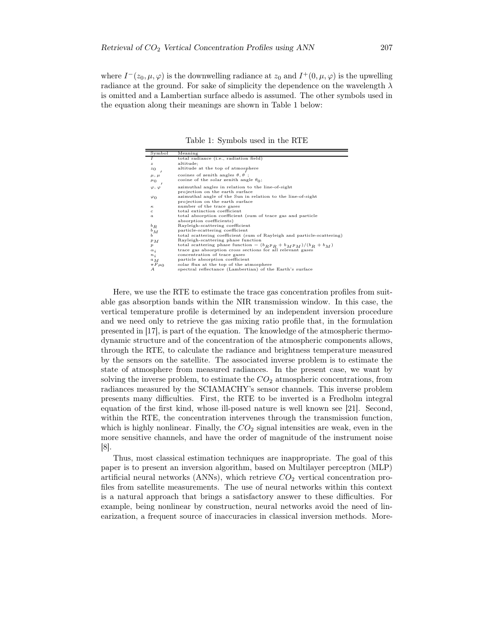where  $I^-(z_0, \mu, \varphi)$  is the downwelling radiance at  $z_0$  and  $I^+(0, \mu, \varphi)$  is the upwelling radiance at the ground. For sake of simplicity the dependence on the wavelength  $\lambda$ is omitted and a Lambertian surface albedo is assumed. The other symbols used in the equation along their meanings are shown in Table 1 below:

Table 1: Symbols used in the RTE

| Symbol             | Meaning                                                                                        |
|--------------------|------------------------------------------------------------------------------------------------|
| I                  | total radiance (i.e., radiation field)                                                         |
| $\boldsymbol{z}$   | altitude;                                                                                      |
| $z_0$              | altitude at the top of atmosphere                                                              |
| $\mu$ , $\mu$      | cosines of zenith angles $\theta$ , $\theta$ ;                                                 |
| $\mu_0$            | cosine of the solar zenith angle $\theta_0$ ;                                                  |
| $\varphi, \varphi$ | azimuthal angles in relation to the line-of-sight<br>projection on the earth surface           |
| $\varphi_0$        | azimuthal angle of the Sun in relation to the line-of-sight<br>projection on the earth surface |
| $\kappa$           | number of the trace gases                                                                      |
| c                  | total extinction coefficient                                                                   |
| $\boldsymbol{a}$   | total absorption coefficient (sum of trace gas and particle                                    |
|                    | absorption coefficients)                                                                       |
| $^{b}R$            | Rayleigh-scattering coefficient                                                                |
| $b_M$              | particle-scattering coefficient                                                                |
| ь                  | total scattering coefficient (sum of Rayleigh and particle-scattering)                         |
| $P_{M}$            | Rayleigh-scattering phase function                                                             |
| $\boldsymbol{p}$   | total scattering phase function = $(b_R p_R + b_M p_M)/(b_R + b_M)$                            |
| $\alpha_i$         | trace gas absorption cross sections for all relevant gases                                     |
| $n_i$              | concentration of trace gases                                                                   |
| ${}^aM$            | particle absorption coefficient                                                                |
| $\pi F \mu_0$      | solar flux at the top of the atmosphere                                                        |
| А                  | spectral reflectance (Lambertian) of the Earth's surface                                       |
|                    |                                                                                                |

Here, we use the RTE to estimate the trace gas concentration profiles from suitable gas absorption bands within the NIR transmission window. In this case, the vertical temperature profile is determined by an independent inversion procedure and we need only to retrieve the gas mixing ratio profile that, in the formulation presented in [17], is part of the equation. The knowledge of the atmospheric thermodynamic structure and of the concentration of the atmospheric components allows, through the RTE, to calculate the radiance and brightness temperature measured by the sensors on the satellite. The associated inverse problem is to estimate the state of atmosphere from measured radiances. In the present case, we want by solving the inverse problem, to estimate the  $CO<sub>2</sub>$  atmospheric concentrations, from radiances measured by the SCIAMACHY's sensor channels. This inverse problem presents many difficulties. First, the RTE to be inverted is a Fredholm integral equation of the first kind, whose ill-posed nature is well known see [21]. Second, within the RTE, the concentration intervenes through the transmission function, which is highly nonlinear. Finally, the  $CO<sub>2</sub>$  signal intensities are weak, even in the more sensitive channels, and have the order of magnitude of the instrument noise [8].

Thus, most classical estimation techniques are inappropriate. The goal of this paper is to present an inversion algorithm, based on Multilayer perceptron (MLP) artificial neural networks (ANNs), which retrieve  $CO<sub>2</sub>$  vertical concentration profiles from satellite measurements. The use of neural networks within this context is a natural approach that brings a satisfactory answer to these difficulties. For example, being nonlinear by construction, neural networks avoid the need of linearization, a frequent source of inaccuracies in classical inversion methods. More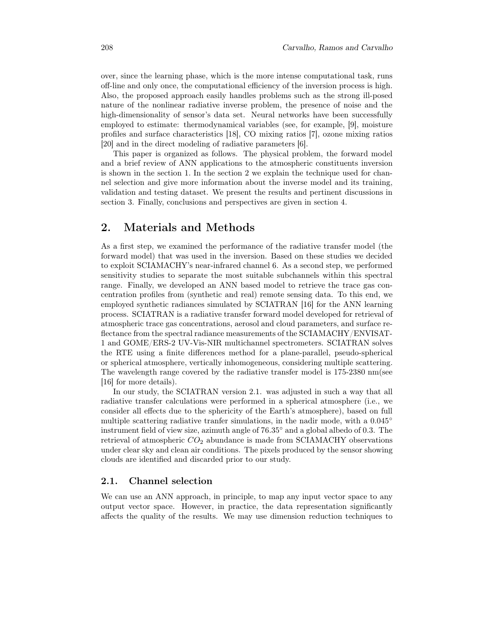over, since the learning phase, which is the more intense computational task, runs off-line and only once, the computational efficiency of the inversion process is high. Also, the proposed approach easily handles problems such as the strong ill-posed nature of the nonlinear radiative inverse problem, the presence of noise and the high-dimensionality of sensor's data set. Neural networks have been successfully employed to estimate: thermodynamical variables (see, for example, [9], moisture profiles and surface characteristics [18], CO mixing ratios [7], ozone mixing ratios [20] and in the direct modeling of radiative parameters [6].

This paper is organized as follows. The physical problem, the forward model and a brief review of ANN applications to the atmospheric constituents inversion is shown in the section 1. In the section 2 we explain the technique used for channel selection and give more information about the inverse model and its training, validation and testing dataset. We present the results and pertinent discussions in section 3. Finally, conclusions and perspectives are given in section 4.

## 2. Materials and Methods

As a first step, we examined the performance of the radiative transfer model (the forward model) that was used in the inversion. Based on these studies we decided to exploit SCIAMACHY's near-infrared channel 6. As a second step, we performed sensitivity studies to separate the most suitable subchannels within this spectral range. Finally, we developed an ANN based model to retrieve the trace gas concentration profiles from (synthetic and real) remote sensing data. To this end, we employed synthetic radiances simulated by SCIATRAN [16] for the ANN learning process. SCIATRAN is a radiative transfer forward model developed for retrieval of atmospheric trace gas concentrations, aerosol and cloud parameters, and surface reflectance from the spectral radiance measurements of the SCIAMACHY/ENVISAT-1 and GOME/ERS-2 UV-Vis-NIR multichannel spectrometers. SCIATRAN solves the RTE using a finite differences method for a plane-parallel, pseudo-spherical or spherical atmosphere, vertically inhomogeneous, considering multiple scattering. The wavelength range covered by the radiative transfer model is 175-2380 nm(see [16] for more details).

In our study, the SCIATRAN version 2.1. was adjusted in such a way that all radiative transfer calculations were performed in a spherical atmosphere (i.e., we consider all effects due to the sphericity of the Earth's atmosphere), based on full multiple scattering radiative tranfer simulations, in the nadir mode, with a  $0.045<sup>°</sup>$ instrument field of view size, azimuth angle of 76.35◦ and a global albedo of 0.3. The retrieval of atmospheric  $CO<sub>2</sub>$  abundance is made from SCIAMACHY observations under clear sky and clean air conditions. The pixels produced by the sensor showing clouds are identified and discarded prior to our study.

#### 2.1. Channel selection

We can use an ANN approach, in principle, to map any input vector space to any output vector space. However, in practice, the data representation significantly affects the quality of the results. We may use dimension reduction techniques to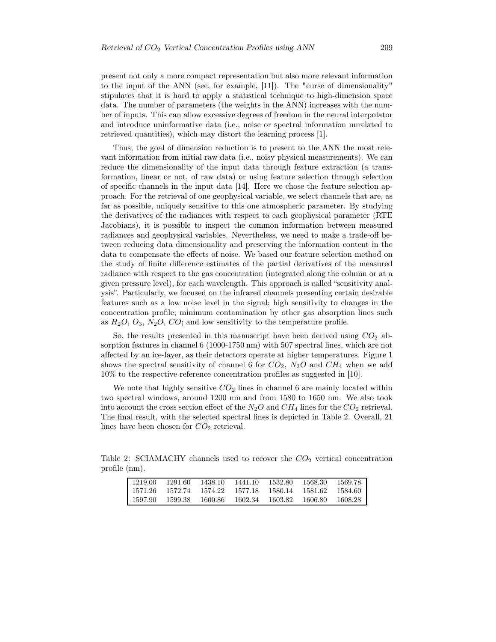present not only a more compact representation but also more relevant information to the input of the ANN (see, for example, [11]). The "curse of dimensionality" stipulates that it is hard to apply a statistical technique to high-dimension space data. The number of parameters (the weights in the ANN) increases with the number of inputs. This can allow excessive degrees of freedom in the neural interpolator and introduce uninformative data (i.e., noise or spectral information unrelated to retrieved quantities), which may distort the learning process [1].

Thus, the goal of dimension reduction is to present to the ANN the most relevant information from initial raw data (i.e., noisy physical measurements). We can reduce the dimensionality of the input data through feature extraction (a transformation, linear or not, of raw data) or using feature selection through selection of specific channels in the input data [14]. Here we chose the feature selection approach. For the retrieval of one geophysical variable, we select channels that are, as far as possible, uniquely sensitive to this one atmospheric parameter. By studying the derivatives of the radiances with respect to each geophysical parameter (RTE Jacobians), it is possible to inspect the common information between measured radiances and geophysical variables. Nevertheless, we need to make a trade-off between reducing data dimensionality and preserving the information content in the data to compensate the effects of noise. We based our feature selection method on the study of finite difference estimates of the partial derivatives of the measured radiance with respect to the gas concentration (integrated along the column or at a given pressure level), for each wavelength. This approach is called "sensitivity analysis". Particularly, we focused on the infrared channels presenting certain desirable features such as a low noise level in the signal; high sensitivity to changes in the concentration profile; minimum contamination by other gas absorption lines such as  $H_2O$ ,  $O_3$ ,  $N_2O$ ,  $CO$ ; and low sensitivity to the temperature profile.

So, the results presented in this manuscript have been derived using  $CO<sub>2</sub>$  absorption features in channel 6 (1000-1750 nm) with 507 spectral lines, which are not affected by an ice-layer, as their detectors operate at higher temperatures. Figure 1 shows the spectral sensitivity of channel 6 for  $CO_2$ ,  $N_2O$  and  $CH_4$  when we add 10% to the respective reference concentration profiles as suggested in [10].

We note that highly sensitive  $CO<sub>2</sub>$  lines in channel 6 are mainly located within two spectral windows, around 1200 nm and from 1580 to 1650 nm. We also took into account the cross section effect of the  $N_2O$  and  $CH_4$  lines for the  $CO_2$  retrieval. The final result, with the selected spectral lines is depicted in Table 2. Overall, 21 lines have been chosen for  $CO<sub>2</sub>$  retrieval.

Table 2: SCIAMACHY channels used to recover the  $CO<sub>2</sub>$  vertical concentration profile (nm).

| 1219.00 | 1291.60 | 1438.10         | 1441.10 1532.80 |                         | -1568.30  | 1569.78   |
|---------|---------|-----------------|-----------------|-------------------------|-----------|-----------|
| 1571.26 |         | 1572.74 1574.22 |                 | 1577.18 1580.14 1581.62 |           | - 1584.60 |
| 1597.90 | 1599.38 | -1600.86        |                 | 1602.34 1603.82         | - 1606.80 | - 1608.28 |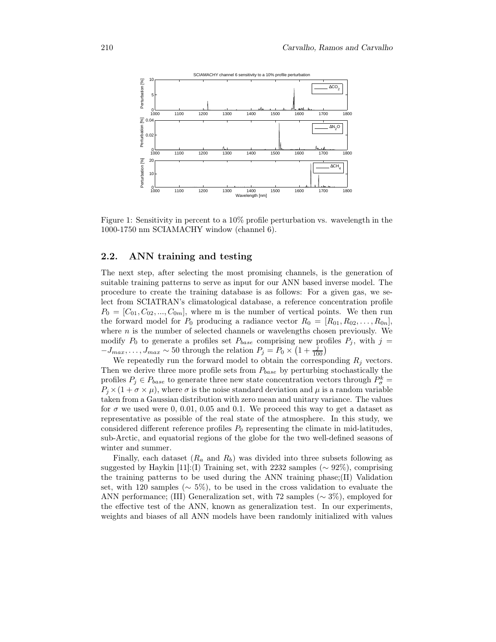

Figure 1: Sensitivity in percent to a 10% profile perturbation vs. wavelength in the 1000-1750 nm SCIAMACHY window (channel 6).

#### 2.2. ANN training and testing

The next step, after selecting the most promising channels, is the generation of suitable training patterns to serve as input for our ANN based inverse model. The procedure to create the training database is as follows: For a given gas, we select from SCIATRAN's climatological database, a reference concentration profile  $P_0 = [C_{01}, C_{02},..., C_{0m}]$ , where m is the number of vertical points. We then run the forward model for  $P_0$  producing a radiance vector  $R_0 = [R_{01}, R_{02}, \ldots, R_{0n}],$ where  $n$  is the number of selected channels or wavelengths chosen previously. We modify  $P_0$  to generate a profiles set  $P_{base}$  comprising new profiles  $P_j$ , with  $j =$  $-J_{max}, \ldots, J_{max} \sim 50$  through the relation  $P_j = P_0 \times (1 + \frac{j}{100})$ 

We repeatedly run the forward model to obtain the corresponding  $R_i$  vectors. Then we derive three more profile sets from  $P_{base}$  by perturbing stochastically the profiles  $P_j \in P_{base}$  to generate three new state concentration vectors through  $P^k_{\sigma}$  =  $P_i \times (1 + \sigma \times \mu)$ , where  $\sigma$  is the noise standard deviation and  $\mu$  is a random variable taken from a Gaussian distribution with zero mean and unitary variance. The values for  $\sigma$  we used were 0, 0.01, 0.05 and 0.1. We proceed this way to get a dataset as representative as possible of the real state of the atmosphere. In this study, we considered different reference profiles  $P_0$  representing the climate in mid-latitudes, sub-Arctic, and equatorial regions of the globe for the two well-defined seasons of winter and summer.

Finally, each dataset  $(R_a \text{ and } R_b)$  was divided into three subsets following as suggested by Haykin [11]:(I) Training set, with 2232 samples ( $\sim 92\%$ ), comprising the training patterns to be used during the ANN training phase;(II) Validation set, with 120 samples ( $\sim$  5%), to be used in the cross validation to evaluate the ANN performance; (III) Generalization set, with 72 samples (∼ 3%), employed for the effective test of the ANN, known as generalization test. In our experiments, weights and biases of all ANN models have been randomly initialized with values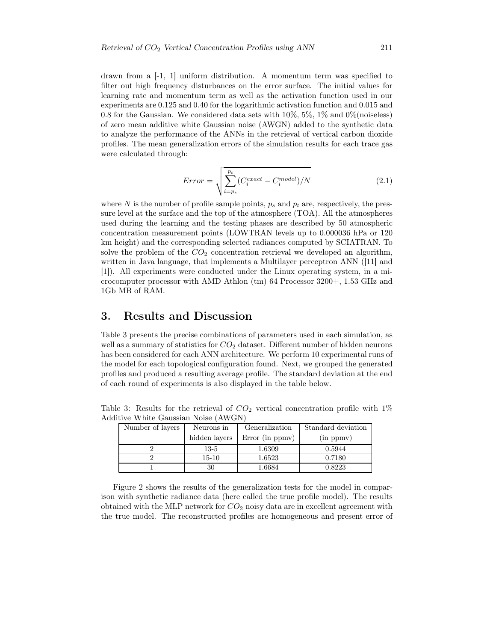drawn from a [-1, 1] uniform distribution. A momentum term was specified to filter out high frequency disturbances on the error surface. The initial values for learning rate and momentum term as well as the activation function used in our experiments are 0.125 and 0.40 for the logarithmic activation function and 0.015 and 0.8 for the Gaussian. We considered data sets with  $10\%, 5\%, 1\%$  and  $0\%$  (noiseless) of zero mean additive white Gaussian noise (AWGN) added to the synthetic data to analyze the performance of the ANNs in the retrieval of vertical carbon dioxide profiles. The mean generalization errors of the simulation results for each trace gas were calculated through:

$$
Error = \sqrt{\sum_{i=p_s}^{p_t} (C_i^{exact} - C_i^{model})/N}
$$
 (2.1)

where N is the number of profile sample points,  $p_s$  and  $p_t$  are, respectively, the pressure level at the surface and the top of the atmosphere (TOA). All the atmospheres used during the learning and the testing phases are described by 50 atmospheric concentration measurement points (LOWTRAN levels up to 0.000036 hPa or 120 km height) and the corresponding selected radiances computed by SCIATRAN. To solve the problem of the  $CO<sub>2</sub>$  concentration retrieval we developed an algorithm, written in Java language, that implements a Multilayer perceptron ANN ([11] and [1]). All experiments were conducted under the Linux operating system, in a microcomputer processor with AMD Athlon  $\text{ (tm)}$  64 Processor 3200+, 1.53 GHz and 1Gb MB of RAM.

## 3. Results and Discussion

Table 3 presents the precise combinations of parameters used in each simulation, as well as a summary of statistics for  $CO<sub>2</sub>$  dataset. Different number of hidden neurons has been considered for each ANN architecture. We perform 10 experimental runs of the model for each topological configuration found. Next, we grouped the generated profiles and produced a resulting average profile. The standard deviation at the end of each round of experiments is also displayed in the table below.

Table 3: Results for the retrieval of  $CO<sub>2</sub>$  vertical concentration profile with  $1\%$ Additive White Gaussian Noise (AWGN)

| Number of layers | Neurons in    | Generalization     | Standard deviation |  |  |  |  |
|------------------|---------------|--------------------|--------------------|--|--|--|--|
|                  | hidden layers | Error (in $ppmv$ ) | (in ppmv)          |  |  |  |  |
|                  | 13-5          | 1.6309             | 0.5944             |  |  |  |  |
|                  | $15 - 10$     | 1.6523             | 0.7180             |  |  |  |  |
|                  |               | 1.6684             | 0.8223             |  |  |  |  |

Figure 2 shows the results of the generalization tests for the model in comparison with synthetic radiance data (here called the true profile model). The results obtained with the MLP network for  $CO<sub>2</sub>$  noisy data are in excellent agreement with the true model. The reconstructed profiles are homogeneous and present error of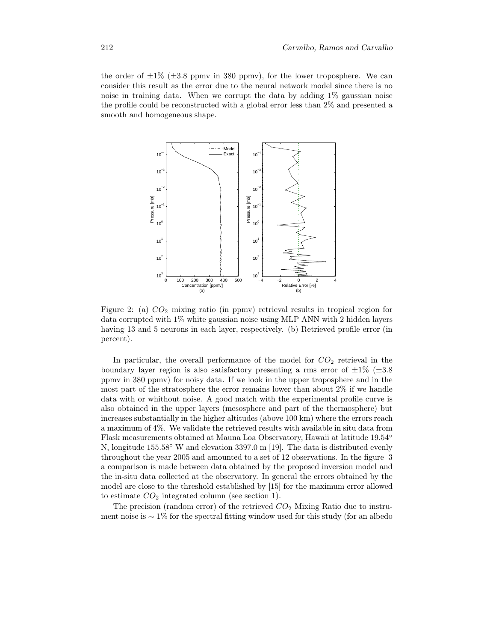the order of  $\pm 1\%$  ( $\pm 3.8$  ppmv in 380 ppmv), for the lower troposphere. We can consider this result as the error due to the neural network model since there is no noise in training data. When we corrupt the data by adding  $1\%$  gaussian noise the profile could be reconstructed with a global error less than 2% and presented a smooth and homogeneous shape.



Figure 2: (a) CO<sup>2</sup> mixing ratio (in ppmv) retrieval results in tropical region for data corrupted with 1% white gaussian noise using MLP ANN with 2 hidden layers having 13 and 5 neurons in each layer, respectively. (b) Retrieved profile error (in percent).

In particular, the overall performance of the model for  $CO<sub>2</sub>$  retrieval in the boundary layer region is also satisfactory presenting a rms error of  $\pm 1\%$  ( $\pm 3.8$ ) ppmv in 380 ppmv) for noisy data. If we look in the upper troposphere and in the most part of the stratosphere the error remains lower than about 2% if we handle data with or whithout noise. A good match with the experimental profile curve is also obtained in the upper layers (mesosphere and part of the thermosphere) but increases substantially in the higher altitudes (above 100 km) where the errors reach a maximum of 4%. We validate the retrieved results with available in situ data from Flask measurements obtained at Mauna Loa Observatory, Hawaii at latitude 19.54◦ N, longitude 155.58◦ W and elevation 3397.0 m [19]. The data is distributed evenly throughout the year 2005 and amounted to a set of 12 observations. In the figure 3 a comparison is made between data obtained by the proposed inversion model and the in-situ data collected at the observatory. In general the errors obtained by the model are close to the threshold established by [15] for the maximum error allowed to estimate  $CO<sub>2</sub>$  integrated column (see section 1).

The precision (random error) of the retrieved  $CO<sub>2</sub>$  Mixing Ratio due to instrument noise is  $\sim 1\%$  for the spectral fitting window used for this study (for an albedo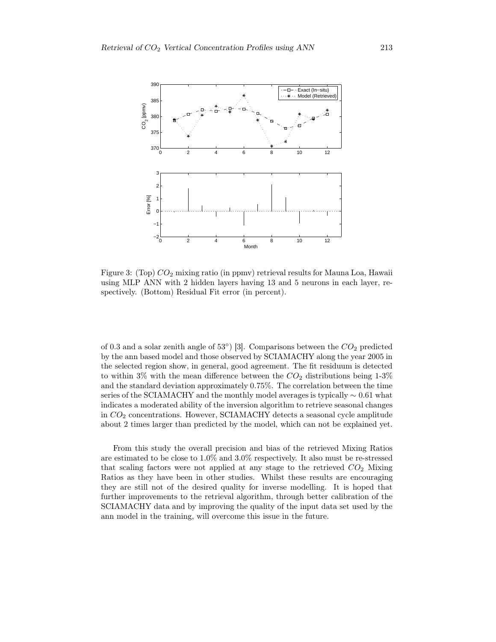

Figure 3: (Top)  $CO<sub>2</sub>$  mixing ratio (in ppmv) retrieval results for Mauna Loa, Hawaii using MLP ANN with 2 hidden layers having 13 and 5 neurons in each layer, respectively. (Bottom) Residual Fit error (in percent).

of 0.3 and a solar zenith angle of  $53^{\circ}$ ) [3]. Comparisons between the  $CO_2$  predicted by the ann based model and those observed by SCIAMACHY along the year 2005 in the selected region show, in general, good agreement. The fit residuum is detected to within 3% with the mean difference between the  $CO<sub>2</sub>$  distributions being 1-3% and the standard deviation approximately 0.75%. The correlation between the time series of the SCIAMACHY and the monthly model averages is typically  $\sim 0.61$  what indicates a moderated ability of the inversion algorithm to retrieve seasonal changes in  $CO<sub>2</sub>$  concentrations. However, SCIAMACHY detects a seasonal cycle amplitude about 2 times larger than predicted by the model, which can not be explained yet.

From this study the overall precision and bias of the retrieved Mixing Ratios are estimated to be close to 1.0% and 3.0% respectively. It also must be re-stressed that scaling factors were not applied at any stage to the retrieved  $CO<sub>2</sub>$  Mixing Ratios as they have been in other studies. Whilst these results are encouraging they are still not of the desired quality for inverse modelling. It is hoped that further improvements to the retrieval algorithm, through better calibration of the SCIAMACHY data and by improving the quality of the input data set used by the ann model in the training, will overcome this issue in the future.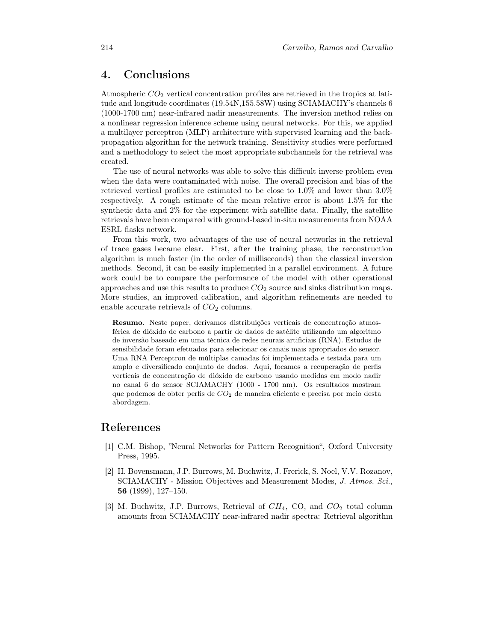## 4. Conclusions

Atmospheric  $CO<sub>2</sub>$  vertical concentration profiles are retrieved in the tropics at latitude and longitude coordinates (19.54N,155.58W) using SCIAMACHY's channels 6 (1000-1700 nm) near-infrared nadir measurements. The inversion method relies on a nonlinear regression inference scheme using neural networks. For this, we applied a multilayer perceptron (MLP) architecture with supervised learning and the backpropagation algorithm for the network training. Sensitivity studies were performed and a methodology to select the most appropriate subchannels for the retrieval was created.

The use of neural networks was able to solve this difficult inverse problem even when the data were contaminated with noise. The overall precision and bias of the retrieved vertical profiles are estimated to be close to 1.0% and lower than 3.0% respectively. A rough estimate of the mean relative error is about 1.5% for the synthetic data and 2% for the experiment with satellite data. Finally, the satellite retrievals have been compared with ground-based in-situ measurements from NOAA ESRL flasks network.

From this work, two advantages of the use of neural networks in the retrieval of trace gases became clear. First, after the training phase, the reconstruction algorithm is much faster (in the order of milliseconds) than the classical inversion methods. Second, it can be easily implemented in a parallel environment. A future work could be to compare the performance of the model with other operational approaches and use this results to produce  $CO<sub>2</sub>$  source and sinks distribution maps. More studies, an improved calibration, and algorithm refinements are needed to enable accurate retrievals of  $CO<sub>2</sub>$  columns.

Resumo. Neste paper, derivamos distribuições verticais de concentração atmosférica de dióxido de carbono a partir de dados de satélite utilizando um algoritmo de inversão baseado em uma técnica de redes neurais artificiais (RNA). Estudos de sensibilidade foram efetuados para selecionar os canais mais apropriados do sensor. Uma RNA Perceptron de múltiplas camadas foi implementada e testada para um amplo e diversificado conjunto de dados. Aqui, focamos a recuperação de perfis verticais de concentração de dióxido de carbono usando medidas em modo nadir no canal 6 do sensor SCIAMACHY (1000 - 1700 nm). Os resultados mostram que podemos de obter perfis de CO<sup>2</sup> de maneira eficiente e precisa por meio desta abordagem.

## References

- [1] C.M. Bishop, "Neural Networks for Pattern Recognition", Oxford University Press, 1995.
- [2] H. Bovensmann, J.P. Burrows, M. Buchwitz, J. Frerick, S. Noel, V.V. Rozanov, SCIAMACHY - Mission Objectives and Measurement Modes, J. Atmos. Sci., 56 (1999), 127–150.
- [3] M. Buchwitz, J.P. Burrows, Retrieval of  $CH_4$ , CO, and  $CO_2$  total column amounts from SCIAMACHY near-infrared nadir spectra: Retrieval algorithm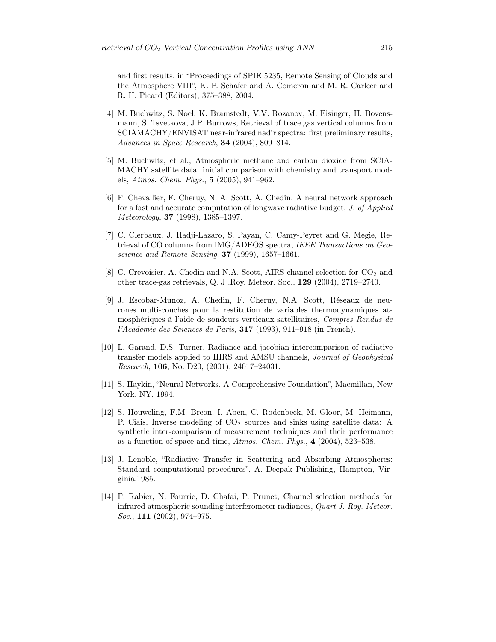and first results, in "Proceedings of SPIE 5235, Remote Sensing of Clouds and the Atmosphere VIII", K. P. Schafer and A. Comeron and M. R. Carleer and R. H. Picard (Editors), 375–388, 2004.

- [4] M. Buchwitz, S. Noel, K. Bramstedt, V.V. Rozanov, M. Eisinger, H. Bovensmann, S. Tsvetkova, J.P. Burrows, Retrieval of trace gas vertical columns from SCIAMACHY/ENVISAT near-infrared nadir spectra: first preliminary results, Advances in Space Research, 34 (2004), 809–814.
- [5] M. Buchwitz, et al., Atmospheric methane and carbon dioxide from SCIA-MACHY satellite data: initial comparison with chemistry and transport models, Atmos. Chem. Phys., 5 (2005), 941–962.
- [6] F. Chevallier, F. Cheruy, N. A. Scott, A. Chedin, A neural network approach for a fast and accurate computation of longwave radiative budget, J. of Applied Meteorology, 37 (1998), 1385–1397.
- [7] C. Clerbaux, J. Hadji-Lazaro, S. Payan, C. Camy-Peyret and G. Megie, Retrieval of CO columns from IMG/ADEOS spectra, IEEE Transactions on Geoscience and Remote Sensing, 37 (1999), 1657–1661.
- [8] C. Crevoisier, A. Chedin and N.A. Scott, AIRS channel selection for  $CO_2$  and other trace-gas retrievals, Q. J .Roy. Meteor. Soc., 129 (2004), 2719–2740.
- [9] J. Escobar-Munoz, A. Chedin, F. Cheruy, N.A. Scott, Réseaux de neurones multi-couches pour la restitution de variables thermodynamiques atmosphériques á l'aide de sondeurs verticaux satellitaires, Comptes Rendus de l'Académie des Sciences de Paris, 317 (1993), 911–918 (in French).
- [10] L. Garand, D.S. Turner, Radiance and jacobian intercomparison of radiative transfer models applied to HIRS and AMSU channels, Journal of Geophysical Research, 106, No. D20, (2001), 24017–24031.
- [11] S. Haykin, "Neural Networks. A Comprehensive Foundation", Macmillan, New York, NY, 1994.
- [12] S. Houweling, F.M. Breon, I. Aben, C. Rodenbeck, M. Gloor, M. Heimann, P. Ciais, Inverse modeling of  $CO<sub>2</sub>$  sources and sinks using satellite data: A synthetic inter-comparison of measurement techniques and their performance as a function of space and time, Atmos. Chem. Phys., 4 (2004), 523–538.
- [13] J. Lenoble, "Radiative Transfer in Scattering and Absorbing Atmospheres: Standard computational procedures", A. Deepak Publishing, Hampton, Virginia,1985.
- [14] F. Rabier, N. Fourrie, D. Chafai, P. Prunet, Channel selection methods for infrared atmospheric sounding interferometer radiances, Quart J. Roy. Meteor. Soc., **111** (2002), 974-975.